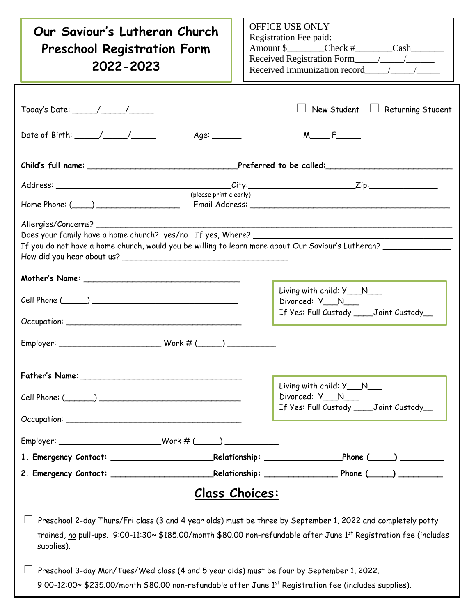| Our Saviour's Lutheran Church<br><b>Preschool Registration Form</b><br>2022-2023                                                                                                                                                                                                                                                                                                                                                                                                                       | OFFICE USE ONLY<br>Registration Fee paid:<br>Amount \$__________Check #_________Cash_________<br>Received Immunization record / / |
|--------------------------------------------------------------------------------------------------------------------------------------------------------------------------------------------------------------------------------------------------------------------------------------------------------------------------------------------------------------------------------------------------------------------------------------------------------------------------------------------------------|-----------------------------------------------------------------------------------------------------------------------------------|
| Age:                                                                                                                                                                                                                                                                                                                                                                                                                                                                                                   | New Student $\Box$ Returning Student<br>$M \sim F$                                                                                |
| Child's full name: _______________________________Preferred to be called:___________________________                                                                                                                                                                                                                                                                                                                                                                                                   |                                                                                                                                   |
| (please print clearly)<br>$Home$ Phone: $(\_\_)$<br>Allergies/Concerns?<br>If you do not have a home church, would you be willing to learn more about Our Saviour's Lutheran? ___________                                                                                                                                                                                                                                                                                                              |                                                                                                                                   |
| $Cell$ Phone $(\_\_\_\_)$                                                                                                                                                                                                                                                                                                                                                                                                                                                                              | Living with child: Y___N___<br>Divorced: Y__N__<br>If Yes: Full Custody _____ Joint Custody__                                     |
|                                                                                                                                                                                                                                                                                                                                                                                                                                                                                                        |                                                                                                                                   |
|                                                                                                                                                                                                                                                                                                                                                                                                                                                                                                        | Living with child: Y__N__<br>Divorced: Y__N__<br>If Yes: Full Custody ____Joint Custody__                                         |
|                                                                                                                                                                                                                                                                                                                                                                                                                                                                                                        |                                                                                                                                   |
|                                                                                                                                                                                                                                                                                                                                                                                                                                                                                                        |                                                                                                                                   |
|                                                                                                                                                                                                                                                                                                                                                                                                                                                                                                        |                                                                                                                                   |
| <b>Class Choices:</b><br>Preschool 2-day Thurs/Fri class (3 and 4 year olds) must be three by September 1, 2022 and completely potty<br>trained, no pull-ups. 9:00-11:30~ \$185.00/month \$80.00 non-refundable after June 1 <sup>st</sup> Registration fee (includes<br>supplies).<br>Preschool 3-day Mon/Tues/Wed class (4 and 5 year olds) must be four by September 1, 2022.<br>9:00-12:00~ \$235.00/month \$80.00 non-refundable after June 1 <sup>st</sup> Registration fee (includes supplies). |                                                                                                                                   |